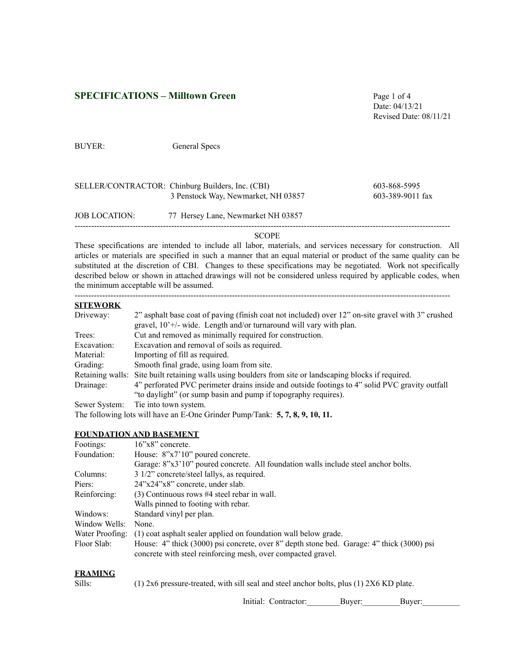# **SPECIFICATIONS – Milltown Green** Page 1 of 4

Date: 04/13/21 Revised Date: 08/11/21

**SITEWORK**

BUYER: General Specs

|               | 3 Penstock Way, Newmarket, NH 03857 | $603 - 389 - 9011$ fax |
|---------------|-------------------------------------|------------------------|
| JOB LOCATION: | 77 Hersey Lane, Newmarket NH 03857  |                        |

#### SCOPE

These specifications are intended to include all labor, materials, and services necessary for construction. All articles or materials are specified in such a manner that an equal material or product of the same quality can be substituted at the discretion of CBI. Changes to these specifications may be negotiated. Work not specifically described below or shown in attached drawings will not be considered unless required by applicable codes, when the minimum acceptable will be assumed.

#### ----------------------------------------------------------------------------------------------------------------------------------------

| SILEWUKA      |                                                                                                         |
|---------------|---------------------------------------------------------------------------------------------------------|
| Driveway:     | 2" asphalt base coat of paving (finish coat not included) over 12" on-site gravel with 3" crushed       |
|               | gravel, $10^{\circ}$ +/- wide. Length and/or turnaround will vary with plan.                            |
| Trees:        | Cut and removed as minimally required for construction.                                                 |
| Excavation:   | Excavation and removal of soils as required.                                                            |
| Material:     | Importing of fill as required.                                                                          |
| Grading:      | Smooth final grade, using loam from site.                                                               |
|               | Retaining walls: Site built retaining walls using boulders from site or landscaping blocks if required. |
| Drainage:     | 4" perforated PVC perimeter drains inside and outside footings to 4" solid PVC gravity outfall          |
|               | "to daylight" (or sump basin and pump if topography requires).                                          |
| Sewer System: | Tie into town system.                                                                                   |
|               | The following lots will have an E-One Grinder Pump/Tank: $5, 7, 8, 9, 10, 11$ .                         |

## **FOUNDATION AND BASEMENT**

| Footings:       | $16"x8"$ concrete.                                                                                                                                        |
|-----------------|-----------------------------------------------------------------------------------------------------------------------------------------------------------|
| Foundation:     | House: 8"x7'10" poured concrete.                                                                                                                          |
|                 | Garage: 8"x3'10" poured concrete. All foundation walls include steel anchor bolts.                                                                        |
| Columns:        | 3 1/2" concrete/steel lallys, as required.                                                                                                                |
| Piers:          | $24$ "x $24$ "x $8$ " concrete, under slab.                                                                                                               |
| Reinforcing:    | $(3)$ Continuous rows #4 steel rebar in wall.                                                                                                             |
|                 | Walls pinned to footing with rebar.                                                                                                                       |
| Windows:        | Standard vinyl per plan.                                                                                                                                  |
| Window Wells:   | None.                                                                                                                                                     |
| Water Proofing: | (1) coat asphalt sealer applied on foundation wall below grade.                                                                                           |
| Floor Slab:     | House: 4" thick (3000) psi concrete, over 8" depth stone bed. Garage: 4" thick (3000) psi<br>concrete with steel reinforcing mesh, over compacted gravel. |

### **FRAMING**

Sills: (1) 2x6 pressure-treated, with sill seal and steel anchor bolts, plus (1) 2X6 KD plate.

Initial: Contractor: Buyer: Buyer: Buyer: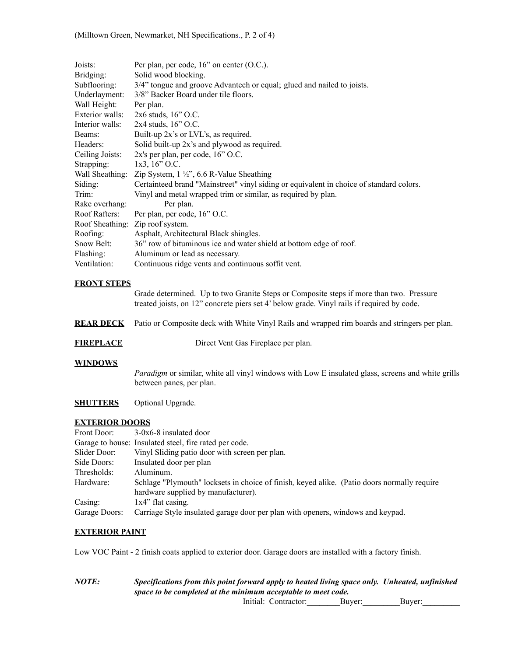| Joists:                         | Per plan, per code, $16$ " on center $(O.C.).$                                                                                                                                        |  |  |  |  |  |  |
|---------------------------------|---------------------------------------------------------------------------------------------------------------------------------------------------------------------------------------|--|--|--|--|--|--|
| Bridging:<br>Subflooring:       | Solid wood blocking.                                                                                                                                                                  |  |  |  |  |  |  |
|                                 | 3/4" tongue and groove Advantech or equal; glued and nailed to joists.                                                                                                                |  |  |  |  |  |  |
|                                 | 3/8" Backer Board under tile floors.<br>Underlayment:                                                                                                                                 |  |  |  |  |  |  |
| Wall Height:<br>Exterior walls: | Per plan.                                                                                                                                                                             |  |  |  |  |  |  |
|                                 | 2x6 studs, 16" O.C.                                                                                                                                                                   |  |  |  |  |  |  |
| Interior walls:                 | 2x4 studs, 16" O.C.                                                                                                                                                                   |  |  |  |  |  |  |
| Beams:                          | Built-up 2x's or LVL's, as required.                                                                                                                                                  |  |  |  |  |  |  |
| Headers:                        | Solid built-up 2x's and plywood as required.                                                                                                                                          |  |  |  |  |  |  |
| Ceiling Joists:                 | 2x's per plan, per code, 16" O.C.                                                                                                                                                     |  |  |  |  |  |  |
| Strapping:                      | 1x3, 16" O.C.                                                                                                                                                                         |  |  |  |  |  |  |
| Wall Sheathing:                 | Zip System, $1\frac{1}{2}$ , 6.6 R-Value Sheathing                                                                                                                                    |  |  |  |  |  |  |
| Siding:                         | Certainteed brand "Mainstreet" vinyl siding or equivalent in choice of standard colors.                                                                                               |  |  |  |  |  |  |
| Trim:                           | Vinyl and metal wrapped trim or similar, as required by plan.                                                                                                                         |  |  |  |  |  |  |
| Rake overhang:                  | Per plan.                                                                                                                                                                             |  |  |  |  |  |  |
| Roof Rafters:                   | Per plan, per code, 16" O.C.                                                                                                                                                          |  |  |  |  |  |  |
| Roof Sheathing:                 | Zip roof system.                                                                                                                                                                      |  |  |  |  |  |  |
| Roofing:                        | Asphalt, Architectural Black shingles.                                                                                                                                                |  |  |  |  |  |  |
| Snow Belt:                      | 36" row of bituminous ice and water shield at bottom edge of roof.                                                                                                                    |  |  |  |  |  |  |
| Flashing:                       | Aluminum or lead as necessary.                                                                                                                                                        |  |  |  |  |  |  |
| Ventilation:                    | Continuous ridge vents and continuous soffit vent.                                                                                                                                    |  |  |  |  |  |  |
| <b>FRONT STEPS</b>              |                                                                                                                                                                                       |  |  |  |  |  |  |
|                                 | Grade determined. Up to two Granite Steps or Composite steps if more than two. Pressure<br>treated joists, on 12" concrete piers set 4' below grade. Vinyl rails if required by code. |  |  |  |  |  |  |
| <b>REAR DECK</b>                | Patio or Composite deck with White Vinyl Rails and wrapped rim boards and stringers per plan.                                                                                         |  |  |  |  |  |  |
| <b>FIREPLACE</b>                | Direct Vent Gas Fireplace per plan.                                                                                                                                                   |  |  |  |  |  |  |
| <b>WINDOWS</b>                  |                                                                                                                                                                                       |  |  |  |  |  |  |
|                                 | Paradigm or similar, white all vinyl windows with Low E insulated glass, screens and white grills<br>between panes, per plan.                                                         |  |  |  |  |  |  |
| <b>SHUTTERS</b>                 | Optional Upgrade.                                                                                                                                                                     |  |  |  |  |  |  |
| <b>EXTERIOR DOORS</b>           |                                                                                                                                                                                       |  |  |  |  |  |  |
| Front Door:                     | $3-0x6-8$ insulated door                                                                                                                                                              |  |  |  |  |  |  |
|                                 | Garage to house: Insulated steel, fire rated per code.                                                                                                                                |  |  |  |  |  |  |
| Slider Door:                    | Vinyl Sliding patio door with screen per plan.                                                                                                                                        |  |  |  |  |  |  |
| Side Doors:                     | Insulated door per plan                                                                                                                                                               |  |  |  |  |  |  |
| Thresholds:                     | Aluminum.                                                                                                                                                                             |  |  |  |  |  |  |
| Hardware:                       | Schlage "Plymouth" locksets in choice of finish, keyed alike. (Patio doors normally require<br>hardware supplied by manufacturer).                                                    |  |  |  |  |  |  |

Casing:  $1x4$ " flat casing. Garage Doors: Carriage Style insulated garage door per plan with openers, windows and keypad.

## **EXTERIOR PAINT**

Low VOC Paint - 2 finish coats applied to exterior door. Garage doors are installed with a factory finish.

*NOTE: Specifications from this point forward apply to heated living space only. Unheated, unfinished space to be completed at the minimum acceptable to meet code.*

Initial: Contractor:\_\_\_\_\_\_\_\_Buyer:\_\_\_\_\_\_\_\_\_Buyer:\_\_\_\_\_\_\_\_\_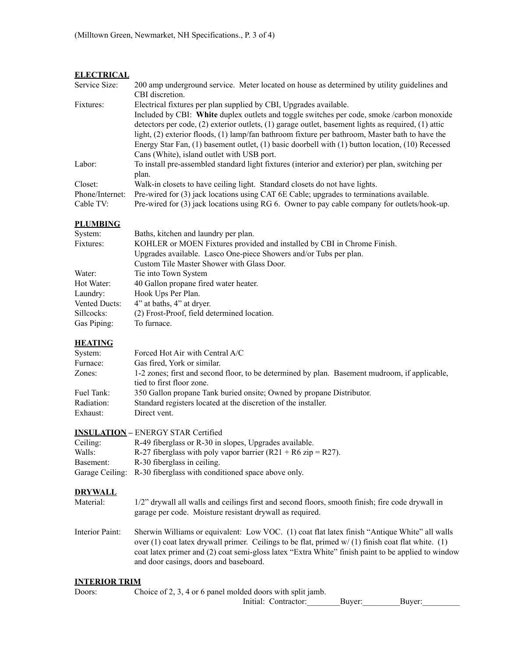## **ELECTRICAL**

| Service Size:   | 200 amp underground service. Meter located on house as determined by utility guidelines and               |
|-----------------|-----------------------------------------------------------------------------------------------------------|
|                 | CBI discretion.                                                                                           |
| Fixtures:       | Electrical fixtures per plan supplied by CBI, Upgrades available.                                         |
|                 | Included by CBI: White duplex outlets and toggle switches per code, smoke /carbon monoxide                |
|                 | detectors per code, $(2)$ exterior outlets, $(1)$ garage outlet, basement lights as required, $(1)$ attic |
|                 | light, (2) exterior floods, (1) lamp/fan bathroom fixture per bathroom, Master bath to have the           |
|                 | Energy Star Fan, $(1)$ basement outlet, $(1)$ basic doorbell with $(1)$ button location, $(10)$ Recessed  |
|                 | Cans (White), island outlet with USB port.                                                                |
| Labor:          | To install pre-assembled standard light fixtures (interior and exterior) per plan, switching per          |
|                 | plan.                                                                                                     |
| Closet:         | Walk-in closets to have ceiling light. Standard closets do not have lights.                               |
| Phone/Internet: | Pre-wired for (3) jack locations using CAT 6E Cable; upgrades to terminations available.                  |
| Cable TV:       | Pre-wired for (3) jack locations using RG 6. Owner to pay cable company for outlets/hook-up.              |

## **PLUMBING**

| System:       | Baths, kitchen and laundry per plan.                                    |
|---------------|-------------------------------------------------------------------------|
| Fixtures:     | KOHLER or MOEN Fixtures provided and installed by CBI in Chrome Finish. |
|               | Upgrades available. Lasco One-piece Showers and/or Tubs per plan.       |
|               | Custom Tile Master Shower with Glass Door.                              |
| Water:        | Tie into Town System                                                    |
| Hot Water:    | 40 Gallon propane fired water heater.                                   |
| Laundry:      | Hook Ups Per Plan.                                                      |
| Vented Ducts: | 4" at baths, 4" at dryer.                                               |
| Sillcocks:    | (2) Frost-Proof, field determined location.                             |
| Gas Piping:   | To furnace.                                                             |

## **HEATING**

| System:    | Forced Hot Air with Central A/C                                                                                            |
|------------|----------------------------------------------------------------------------------------------------------------------------|
| Furnace:   | Gas fired, York or similar.                                                                                                |
| Zones:     | 1-2 zones; first and second floor, to be determined by plan. Basement mudroom, if applicable,<br>tied to first floor zone. |
| Fuel Tank: | 350 Gallon propane Tank buried onsite: Owned by propane Distributor.                                                       |
| Radiation: | Standard registers located at the discretion of the installer.                                                             |
| Exhaust:   | Direct vent.                                                                                                               |

| <b>INSULATION – ENERGY STAR Certified</b> |  |  |  |  |
|-------------------------------------------|--|--|--|--|
|                                           |  |  |  |  |

| Ceiling:  | R-49 fiberglass or R-30 in slopes, Upgrades available.             |
|-----------|--------------------------------------------------------------------|
| Walls:    | R-27 fiberglass with poly vapor barrier (R21 + R6 zip = R27).      |
| Basement: | R-30 fiberglass in ceiling.                                        |
|           | Garage Ceiling: R-30 fiberglass with conditioned space above only. |

## **DRYWALL**

- Material: 1/2" drywall all walls and ceilings first and second floors, smooth finish; fire code drywall in garage per code. Moisture resistant drywall as required.
- Interior Paint: Sherwin Williams or equivalent: Low VOC. (1) coat flat latex finish "Antique White" all walls over (1) coat latex drywall primer. Ceilings to be flat, primed w/ (1) finish coat flat white. (1) coat latex primer and (2) coat semi-gloss latex "Extra White" finish paint to be applied to window and door casings, doors and baseboard.

## **INTERIOR TRIM**

Doors: Choice of 2, 3, 4 or 6 panel molded doors with split jamb.

Initial: Contractor:\_\_\_\_\_\_\_\_Buyer:\_\_\_\_\_\_\_\_\_Buyer:\_\_\_\_\_\_\_\_\_